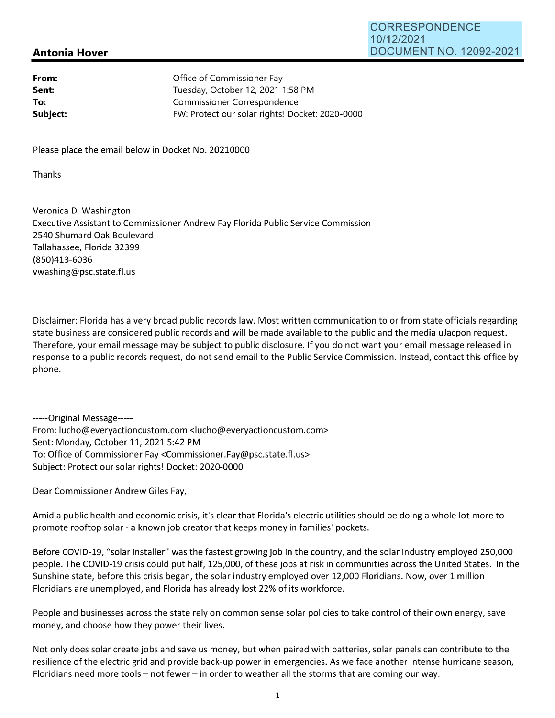## **Antonia Hover**

| From:    | Office of Commissioner Fay                      |
|----------|-------------------------------------------------|
| Sent:    | Tuesday, October 12, 2021 1:58 PM               |
| To:      | Commissioner Correspondence                     |
| Subject: | FW: Protect our solar rights! Docket: 2020-0000 |

Please place the email below in Docket No. 20210000

Thanks

Veronica D. Washington Executive Assistant to Commissioner Andrew Fay Florida Public Service Commission 2540 Shumard Oak Boulevard Tallahassee, Florida 32399 (850)413-6036 vwashing@psc.state.fl.us

Disclaimer: Florida has a very broad public records law. Most written communication to or from state officials regarding state business are considered public records and will be made available to the public and the media uJacpon request. Therefore, your email message may be subject to public disclosure. If you do not want your email message released in response to a public records request, do not send email to the Public Service Commission. Instead, contact this office by phone.

-----Original Message----- From: lucho@everyactioncustom.com <lucho@everyactioncustom.com> Sent: Monday, October 11, 2021 5:42 PM To: Office of Commissioner Fay <Commissioner.Fay@psc.state.fl.us> Subject: Protect our solar rights! Docket: 2020-0000

Dear Commissioner Andrew Giles Fay,

Amid a public health and economic crisis, it's clear that Florida's electric utilities should be doing a whole lot more to promote rooftop solar - a known job creator that keeps money in families' pockets.

Before COVID-19, "solar installer" was the fastest growing job in the country, and the solar industry employed 250,000 people. The COVID-19 crisis could put half, 125,000, of these jobs at risk in communities across the United States. In the Sunshine state, before this crisis began, the solar industry employed over 12,000 Floridians. Now, over 1 million Floridians are unemployed, and Florida has already lost 22% of its workforce.

People and businesses across the state rely on common sense solar policies to take control of their own energy, save money, and choose how they power their lives.

Not only does solar create jobs and save us money, but when paired with batteries, solar panels can contribute to the resilience of the electric grid and provide back-up power in emergencies. As we face another intense hurricane season, Floridians need more tools - not fewer - in order to weather all the storms that are coming our way.